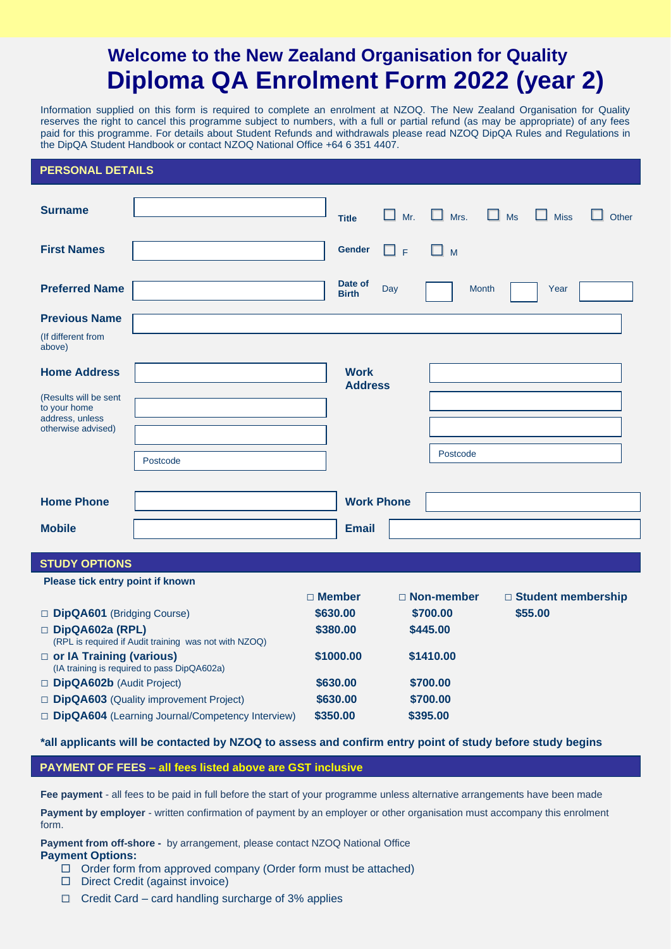# **Welcome to the New Zealand Organisation for Quality Diploma QA Enrolment Form 2022 (year 2)**

Information supplied on this form is required to complete an enrolment at NZOQ. The New Zealand Organisation for Quality reserves the right to cancel this programme subject to numbers, with a full or partial refund (as may be appropriate) of any fees paid for this programme. For details about Student Refunds and withdrawals please read NZOQ DipQA Rules and Regulations in the DipQA Student Handbook or contact NZOQ National Office +64 6 351 4407.

### **PERSONAL DETAILS**

| <b>Surname</b>                                                                 |                                                       |                      | <b>Title</b>            | Mr.      | Mrs.                 | $\Box$ Ms    | <b>Miss</b>                     | Other |
|--------------------------------------------------------------------------------|-------------------------------------------------------|----------------------|-------------------------|----------|----------------------|--------------|---------------------------------|-------|
| <b>First Names</b>                                                             |                                                       |                      | <b>Gender</b>           | □╒       | M                    |              |                                 |       |
| <b>Preferred Name</b>                                                          |                                                       |                      | Date of<br><b>Birth</b> | Day      |                      | <b>Month</b> | Year                            |       |
| <b>Previous Name</b>                                                           |                                                       |                      |                         |          |                      |              |                                 |       |
| (If different from<br>above)                                                   |                                                       |                      |                         |          |                      |              |                                 |       |
| <b>Home Address</b>                                                            |                                                       |                      | <b>Work</b>             |          |                      |              |                                 |       |
| (Results will be sent<br>to your home<br>address, unless<br>otherwise advised) |                                                       |                      | <b>Address</b>          |          |                      |              |                                 |       |
|                                                                                |                                                       |                      |                         |          | Postcode             |              |                                 |       |
|                                                                                | Postcode                                              |                      |                         |          |                      |              |                                 |       |
|                                                                                |                                                       |                      |                         |          |                      |              |                                 |       |
| <b>Home Phone</b>                                                              |                                                       |                      | <b>Work Phone</b>       |          |                      |              |                                 |       |
| <b>Mobile</b>                                                                  |                                                       |                      | <b>Email</b>            |          |                      |              |                                 |       |
|                                                                                |                                                       |                      |                         |          |                      |              |                                 |       |
| <b>STUDY OPTIONS</b>                                                           |                                                       |                      |                         |          |                      |              |                                 |       |
| Please tick entry point if known                                               |                                                       |                      |                         |          |                      |              |                                 |       |
|                                                                                |                                                       | □ Member<br>\$630.00 |                         |          | □ Non-member         |              | □ Student membership<br>\$55.00 |       |
| DipQA601 (Bridging Course)<br>DipQA602a (RPL)                                  |                                                       | \$380.00             |                         |          | \$700.00<br>\$445.00 |              |                                 |       |
|                                                                                | (RPL is required if Audit training was not with NZOQ) |                      |                         |          |                      |              |                                 |       |
| □ or IA Training (various)<br>(IA training is required to pass DipQA602a)      |                                                       | \$1000.00            |                         |          | \$1410.00            |              |                                 |       |
| DipQA602b (Audit Project)                                                      |                                                       | \$630.00             |                         |          | \$700.00             |              |                                 |       |
| DipQA603 (Quality improvement Project)                                         |                                                       |                      | \$630.00                |          | \$700.00             |              |                                 |       |
| DipQA604 (Learning Journal/Competency Interview)                               |                                                       | \$350.00             |                         | \$395.00 |                      |              |                                 |       |
|                                                                                |                                                       |                      |                         |          |                      |              |                                 |       |

### **\*all applicants will be contacted by NZOQ to assess and confirm entry point of study before study begins**

**PAYMENT OF FEES – all fees listed above are GST inclusive**

**Fee payment** - all fees to be paid in full before the start of your programme unless alternative arrangements have been made

**Payment by employer** - written confirmation of payment by an employer or other organisation must accompany this enrolment form.

**Payment from off-shore -** by arrangement, please contact NZOQ National Office **Payment Options:**

- $\Box$  Order form from approved company (Order form must be attached)
- D Direct Credit (against invoice)
- **□** Credit Card card handling surcharge of 3% applies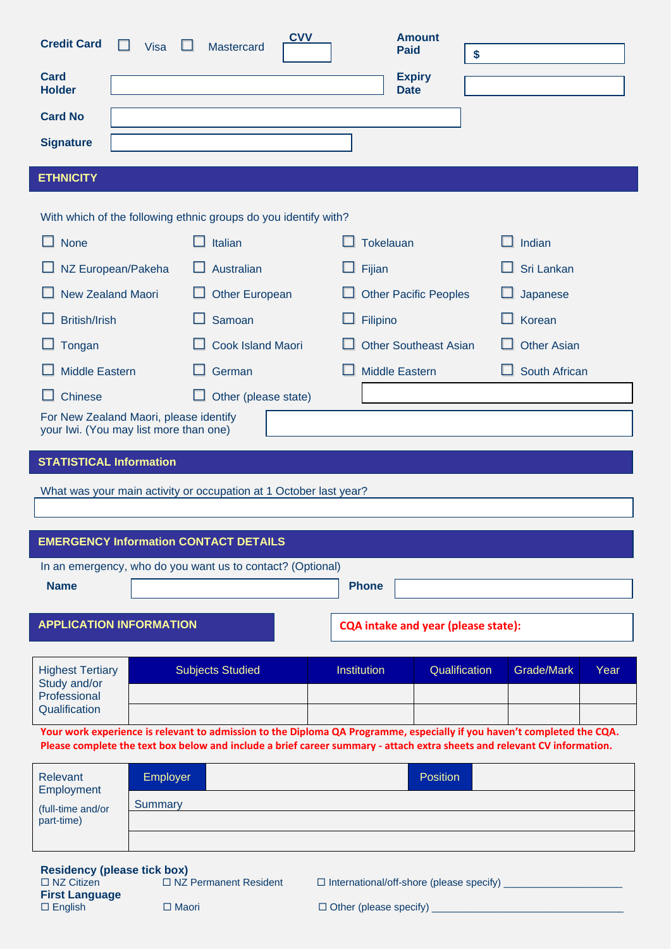| <b>Credit Card</b><br><b>Visa</b>                        | <b>CVV</b><br><b>Mastercard</b>                                   | <b>Amount</b><br><b>Paid</b>               | \$                                                                                                                       |  |  |  |  |  |  |
|----------------------------------------------------------|-------------------------------------------------------------------|--------------------------------------------|--------------------------------------------------------------------------------------------------------------------------|--|--|--|--|--|--|
| <b>Card</b><br><b>Holder</b>                             |                                                                   | <b>Expiry</b><br><b>Date</b>               |                                                                                                                          |  |  |  |  |  |  |
| <b>Card No</b>                                           |                                                                   |                                            |                                                                                                                          |  |  |  |  |  |  |
| <b>Signature</b>                                         |                                                                   |                                            |                                                                                                                          |  |  |  |  |  |  |
| <b>ETHNICITY</b>                                         |                                                                   |                                            |                                                                                                                          |  |  |  |  |  |  |
|                                                          | With which of the following ethnic groups do you identify with?   |                                            |                                                                                                                          |  |  |  |  |  |  |
| $\mathsf{L}$<br><b>None</b>                              | Italian                                                           | Tokelauan                                  | $\Box$ Indian                                                                                                            |  |  |  |  |  |  |
| NZ European/Pakeha                                       | Australian                                                        | Fijian                                     | Sri Lankan                                                                                                               |  |  |  |  |  |  |
| <b>New Zealand Maori</b>                                 | <b>Other European</b><br><b>Other Pacific Peoples</b>             |                                            | Japanese                                                                                                                 |  |  |  |  |  |  |
| <b>British/Irish</b><br>Samoan                           |                                                                   | Filipino                                   | Korean                                                                                                                   |  |  |  |  |  |  |
| Tongan                                                   | <b>Cook Island Maori</b><br><b>Other Southeast Asian</b>          |                                            | <b>Other Asian</b>                                                                                                       |  |  |  |  |  |  |
| <b>Middle Eastern</b>                                    | German                                                            | <b>Middle Eastern</b>                      | South African                                                                                                            |  |  |  |  |  |  |
| Chinese                                                  | Other (please state)<br>ப                                         |                                            |                                                                                                                          |  |  |  |  |  |  |
|                                                          |                                                                   |                                            | For New Zealand Maori, please identify<br>your Iwi. (You may list more than one)                                         |  |  |  |  |  |  |
|                                                          |                                                                   |                                            |                                                                                                                          |  |  |  |  |  |  |
| <b>STATISTICAL Information</b>                           |                                                                   |                                            |                                                                                                                          |  |  |  |  |  |  |
|                                                          | What was your main activity or occupation at 1 October last year? |                                            |                                                                                                                          |  |  |  |  |  |  |
|                                                          |                                                                   |                                            |                                                                                                                          |  |  |  |  |  |  |
| <b>EMERGENCY Information CONTACT DETAILS</b>             |                                                                   |                                            |                                                                                                                          |  |  |  |  |  |  |
|                                                          | In an emergency, who do you want us to contact? (Optional)        |                                            |                                                                                                                          |  |  |  |  |  |  |
| <b>Name</b>                                              |                                                                   | <b>Phone</b>                               |                                                                                                                          |  |  |  |  |  |  |
| <b>APPLICATION INFORMATION</b>                           |                                                                   | <b>CQA intake and year (please state):</b> |                                                                                                                          |  |  |  |  |  |  |
| <b>Highest Tertiary</b>                                  | <b>Subjects Studied</b>                                           | <b>Institution</b><br>Qualification        | Grade/Mark<br>Year                                                                                                       |  |  |  |  |  |  |
| Study and/or<br>Professional                             |                                                                   |                                            |                                                                                                                          |  |  |  |  |  |  |
| Qualification                                            |                                                                   |                                            | Your work experience is relevant to admission to the Diploma QA Programme, especially if you haven't completed the CQA.  |  |  |  |  |  |  |
|                                                          |                                                                   |                                            | Please complete the text box below and include a brief career summary - attach extra sheets and relevant CV information. |  |  |  |  |  |  |
| <b>Relevant</b><br>Employer                              |                                                                   | Position                                   |                                                                                                                          |  |  |  |  |  |  |
| Employment<br>Summary<br>(full-time and/or<br>part-time) |                                                                   |                                            |                                                                                                                          |  |  |  |  |  |  |

**Residency (please tick box)** □ NZ Citizen □ NZ Permanent Resident □ International/off-shore (please specify) \_\_\_\_\_\_\_\_\_\_\_\_\_\_\_\_\_\_\_\_\_\_ **First Language** English Maori Other (please specify) \_\_\_\_\_\_\_\_\_\_\_\_\_\_\_\_\_\_\_\_\_\_\_\_\_\_\_\_\_\_\_\_\_\_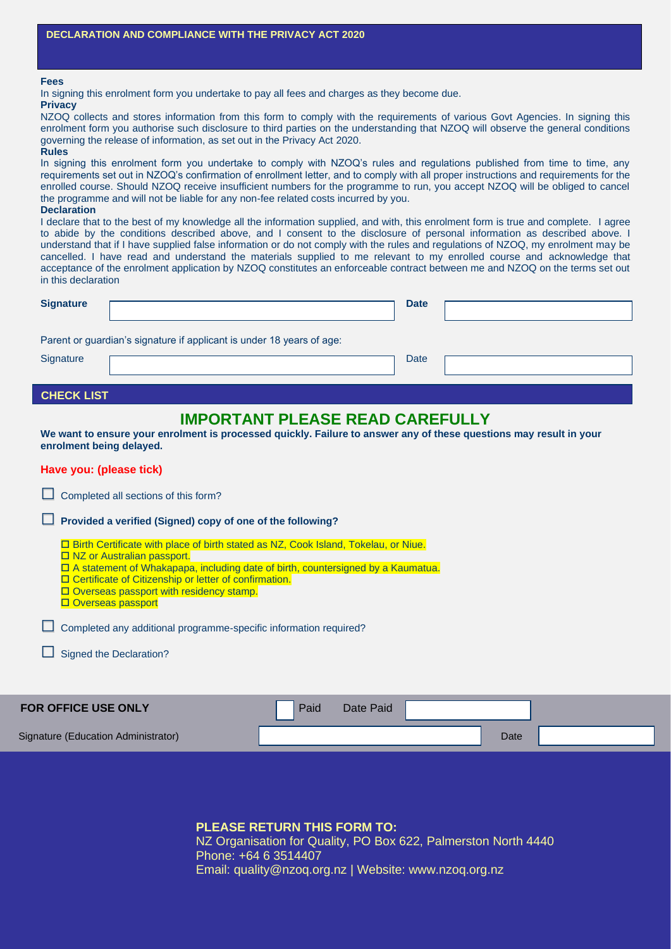### **Fees**

**Privacy**

In signing this enrolment form you undertake to pay all fees and charges as they become due.

NZOQ collects and stores information from this form to comply with the requirements of various Govt Agencies. In signing this enrolment form you authorise such disclosure to third parties on the understanding that NZOQ will observe the general conditions governing the release of information, as set out in the Privacy Act 2020.

#### **Rules**

In signing this enrolment form you undertake to comply with NZOQ's rules and regulations published from time to time, any requirements set out in NZOQ's confirmation of enrollment letter, and to comply with all proper instructions and requirements for the enrolled course. Should NZOQ receive insufficient numbers for the programme to run, you accept NZOQ will be obliged to cancel the programme and will not be liable for any non-fee related costs incurred by you.

#### **Declaration**

I declare that to the best of my knowledge all the information supplied, and with, this enrolment form is true and complete. I agree to abide by the conditions described above, and I consent to the disclosure of personal information as described above. I understand that if I have supplied false information or do not comply with the rules and regulations of NZOQ, my enrolment may be cancelled. I have read and understand the materials supplied to me relevant to my enrolled course and acknowledge that acceptance of the enrolment application by NZOQ constitutes an enforceable contract between me and NZOQ on the terms set out in this declaration

| <b>Signature</b> |                                                                       | <b>Date</b> |  |
|------------------|-----------------------------------------------------------------------|-------------|--|
|                  | Parent or guardian's signature if applicant is under 18 years of age: |             |  |
| Signature        |                                                                       | Date        |  |

### **CHECK LIST**

## **IMPORTANT PLEASE READ CAREFULLY**

**We want to ensure your enrolment is processed quickly. Failure to answer any of these questions may result in your enrolment being delayed.**

### **Have you: (please tick)**

| Completed all sections of this form?                                                                                                                                                                                                                                                                                                                         |
|--------------------------------------------------------------------------------------------------------------------------------------------------------------------------------------------------------------------------------------------------------------------------------------------------------------------------------------------------------------|
| Provided a verified (Signed) copy of one of the following?<br>$\Box$                                                                                                                                                                                                                                                                                         |
| □ Birth Certificate with place of birth stated as NZ, Cook Island, Tokelau, or Niue.<br>$\Box$ NZ or Australian passport.<br>$\Box$ A statement of Whakapapa, including date of birth, countersigned by a Kaumatua.<br>□ Certificate of Citizenship or letter of confirmation.<br>$\Box$ Overseas passport with residency stamp.<br>$\Box$ Overseas passport |
| Completed any additional programme-specific information required?<br>ப                                                                                                                                                                                                                                                                                       |
| Signed the Declaration?                                                                                                                                                                                                                                                                                                                                      |
| _ _ _ . _ .                                                                                                                                                                                                                                                                                                                                                  |

| <b>FOR OFFICE USE ONLY</b>          | Paid<br>Date Paid |      |  |
|-------------------------------------|-------------------|------|--|
| Signature (Education Administrator) |                   | Date |  |
|                                     |                   |      |  |

**PLEASE RETURN THIS FORM TO:** NZ Organisation for Quality, PO Box 622, Palmerston North 4440 Phone: +64 6 3514407 Email: quality@nzoq.org.nz | Website: www.nzoq.org.nz